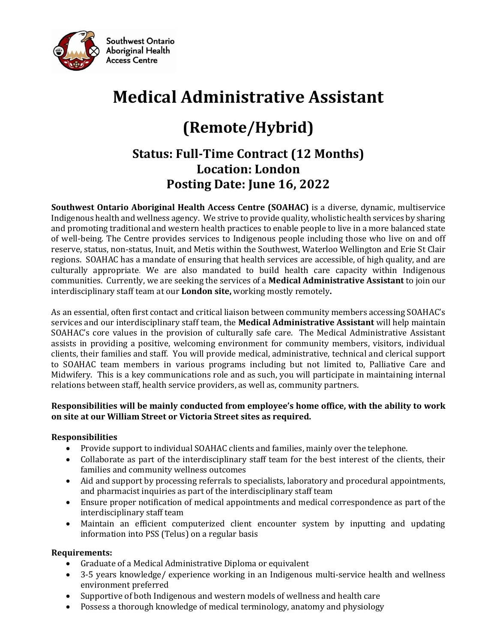

# **Medical Administrative Assistant**

## **(Remote/Hybrid)**

### **Status: Full-Time Contract (12 Months) Location: London Posting Date: June 16, 2022**

**Southwest Ontario Aboriginal Health Access Centre (SOAHAC)** is a diverse, dynamic, multiservice Indigenous health and wellness agency. We strive to provide quality, wholistic health services by sharing and promoting traditional and western health practices to enable people to live in a more balanced state of well-being. The Centre provides services to Indigenous people including those who live on and off reserve, status, non-status, Inuit, and Metis within the Southwest, Waterloo Wellington and Erie St Clair regions. SOAHAC has a mandate of ensuring that health services are accessible, of high quality, and are culturally appropriate. We are also mandated to build health care capacity within Indigenous communities. Currently, we are seeking the services of a **Medical Administrative Assistant** to join our interdisciplinary staff team at our **London site,** working mostly remotely**.**

As an essential, often first contact and critical liaison between community members accessing SOAHAC's services and our interdisciplinary staff team, the **Medical Administrative Assistant** will help maintain SOAHAC's core values in the provision of culturally safe care. The Medical Administrative Assistant assists in providing a positive, welcoming environment for community members, visitors, individual clients, their families and staff. You will provide medical, administrative, technical and clerical support to SOAHAC team members in various programs including but not limited to, Palliative Care and Midwifery. This is a key communications role and as such, you will participate in maintaining internal relations between staff, health service providers, as well as, community partners.

#### **Responsibilities will be mainly conducted from employee's home office, with the ability to work on site at our William Street or Victoria Street sites as required.**

#### **Responsibilities**

- Provide support to individual SOAHAC clients and families, mainly over the telephone.
- Collaborate as part of the interdisciplinary staff team for the best interest of the clients, their families and community wellness outcomes
- Aid and support by processing referrals to specialists, laboratory and procedural appointments, and pharmacist inquiries as part of the interdisciplinary staff team
- Ensure proper notification of medical appointments and medical correspondence as part of the interdisciplinary staff team
- Maintain an efficient computerized client encounter system by inputting and updating information into PSS (Telus) on a regular basis

#### **Requirements:**

- Graduate of a Medical Administrative Diploma or equivalent
- 3-5 years knowledge/ experience working in an Indigenous multi-service health and wellness environment preferred
- Supportive of both Indigenous and western models of wellness and health care
- Possess a thorough knowledge of medical terminology, anatomy and physiology